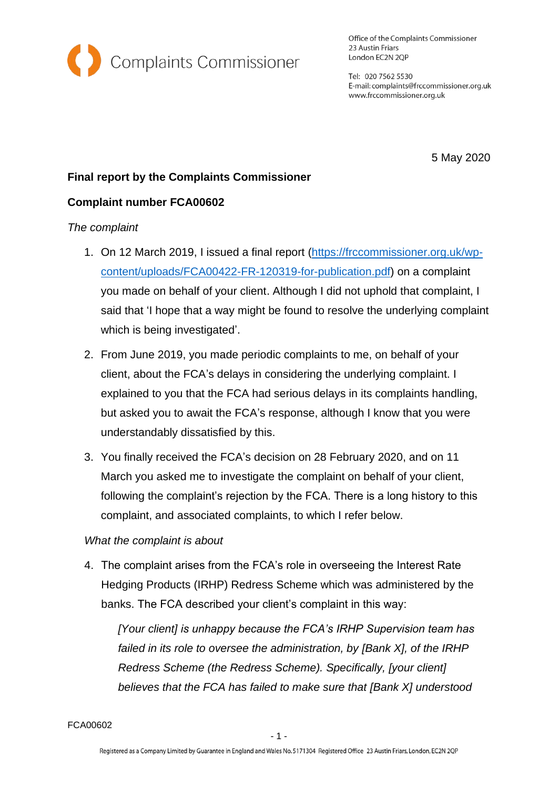

Office of the Complaints Commissioner 23 Austin Friars London EC2N 2QP

Tel: 020 7562 5530 E-mail: complaints@frccommissioner.org.uk www.frccommissioner.org.uk

5 May 2020

# **Final report by the Complaints Commissioner**

## **Complaint number FCA00602**

### *The complaint*

- 1. On 12 March 2019, I issued a final report [\(https://frccommissioner.org.uk/wp](https://frccommissioner.org.uk/wp-content/uploads/FCA00422-FR-120319-for-publication.pdf)[content/uploads/FCA00422-FR-120319-for-publication.pdf\)](https://frccommissioner.org.uk/wp-content/uploads/FCA00422-FR-120319-for-publication.pdf) on a complaint you made on behalf of your client. Although I did not uphold that complaint, I said that 'I hope that a way might be found to resolve the underlying complaint which is being investigated'.
- 2. From June 2019, you made periodic complaints to me, on behalf of your client, about the FCA's delays in considering the underlying complaint. I explained to you that the FCA had serious delays in its complaints handling, but asked you to await the FCA's response, although I know that you were understandably dissatisfied by this.
- 3. You finally received the FCA's decision on 28 February 2020, and on 11 March you asked me to investigate the complaint on behalf of your client, following the complaint's rejection by the FCA. There is a long history to this complaint, and associated complaints, to which I refer below.

### *What the complaint is about*

4. The complaint arises from the FCA's role in overseeing the Interest Rate Hedging Products (IRHP) Redress Scheme which was administered by the banks. The FCA described your client's complaint in this way:

*[Your client] is unhappy because the FCA's IRHP Supervision team has failed in its role to oversee the administration, by [Bank X], of the IRHP Redress Scheme (the Redress Scheme). Specifically, [your client] believes that the FCA has failed to make sure that [Bank X] understood* 

FCA00602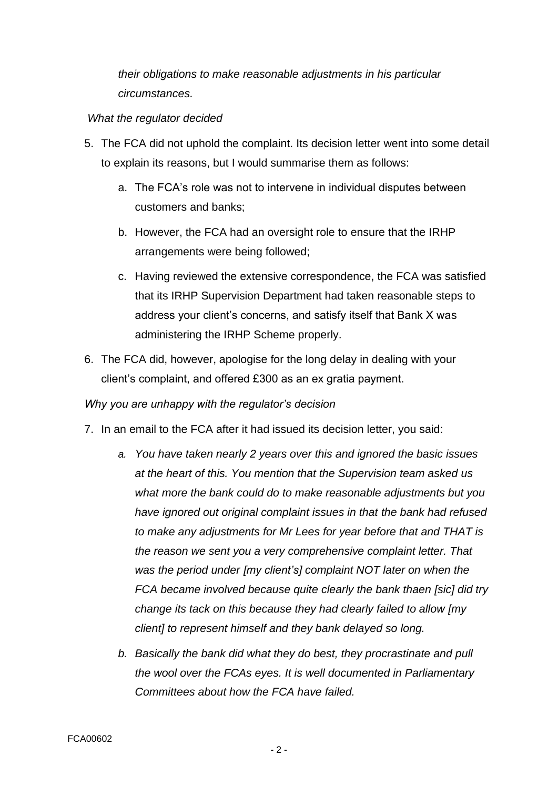*their obligations to make reasonable adjustments in his particular circumstances.*

## *What the regulator decided*

- 5. The FCA did not uphold the complaint. Its decision letter went into some detail to explain its reasons, but I would summarise them as follows:
	- a. The FCA's role was not to intervene in individual disputes between customers and banks;
	- b. However, the FCA had an oversight role to ensure that the IRHP arrangements were being followed;
	- c. Having reviewed the extensive correspondence, the FCA was satisfied that its IRHP Supervision Department had taken reasonable steps to address your client's concerns, and satisfy itself that Bank X was administering the IRHP Scheme properly.
- 6. The FCA did, however, apologise for the long delay in dealing with your client's complaint, and offered £300 as an ex gratia payment.

# *Why you are unhappy with the regulator's decision*

- 7. In an email to the FCA after it had issued its decision letter, you said:
	- *a. You have taken nearly 2 years over this and ignored the basic issues at the heart of this. You mention that the Supervision team asked us what more the bank could do to make reasonable adjustments but you have ignored out original complaint issues in that the bank had refused to make any adjustments for Mr Lees for year before that and THAT is the reason we sent you a very comprehensive complaint letter. That was the period under [my client's] complaint NOT later on when the FCA became involved because quite clearly the bank thaen [sic] did try change its tack on this because they had clearly failed to allow [my client] to represent himself and they bank delayed so long.*
	- *b. Basically the bank did what they do best, they procrastinate and pull the wool over the FCAs eyes. It is well documented in Parliamentary Committees about how the FCA have failed.*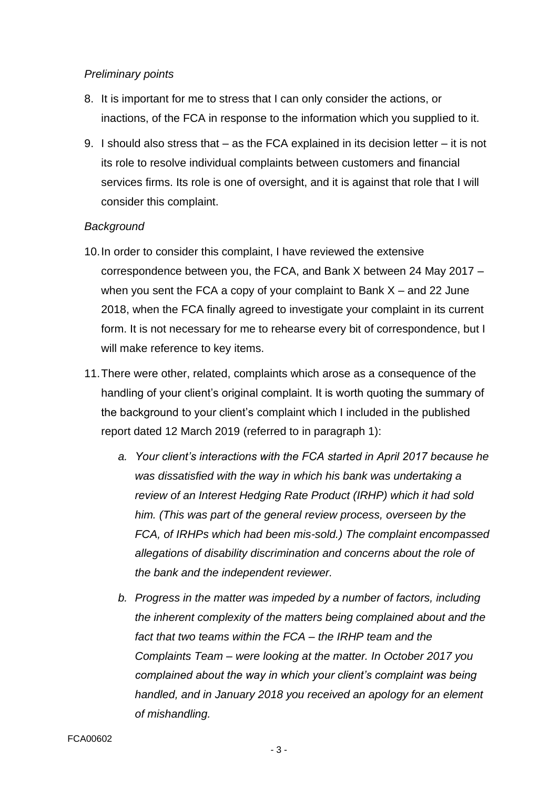## *Preliminary points*

- 8. It is important for me to stress that I can only consider the actions, or inactions, of the FCA in response to the information which you supplied to it.
- 9. I should also stress that as the FCA explained in its decision letter it is not its role to resolve individual complaints between customers and financial services firms. Its role is one of oversight, and it is against that role that I will consider this complaint.

## *Background*

- 10.In order to consider this complaint, I have reviewed the extensive correspondence between you, the FCA, and Bank X between 24 May 2017 – when you sent the FCA a copy of your complaint to Bank  $X$  – and 22 June 2018, when the FCA finally agreed to investigate your complaint in its current form. It is not necessary for me to rehearse every bit of correspondence, but I will make reference to key items.
- 11.There were other, related, complaints which arose as a consequence of the handling of your client's original complaint. It is worth quoting the summary of the background to your client's complaint which I included in the published report dated 12 March 2019 (referred to in paragraph 1):
	- *a. Your client's interactions with the FCA started in April 2017 because he was dissatisfied with the way in which his bank was undertaking a review of an Interest Hedging Rate Product (IRHP) which it had sold him. (This was part of the general review process, overseen by the FCA, of IRHPs which had been mis-sold.) The complaint encompassed allegations of disability discrimination and concerns about the role of the bank and the independent reviewer.*
	- *b. Progress in the matter was impeded by a number of factors, including the inherent complexity of the matters being complained about and the fact that two teams within the FCA – the IRHP team and the Complaints Team – were looking at the matter. In October 2017 you complained about the way in which your client's complaint was being handled, and in January 2018 you received an apology for an element of mishandling.*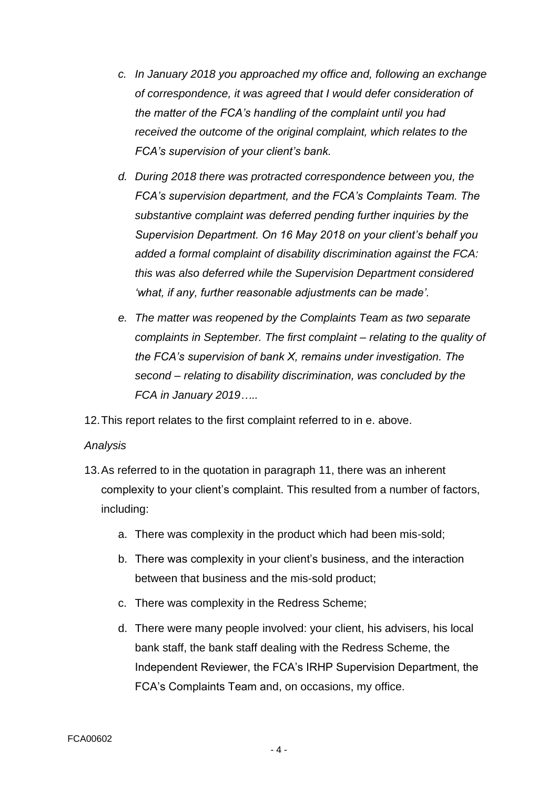- *c. In January 2018 you approached my office and, following an exchange of correspondence, it was agreed that I would defer consideration of the matter of the FCA's handling of the complaint until you had received the outcome of the original complaint, which relates to the FCA's supervision of your client's bank.*
- *d. During 2018 there was protracted correspondence between you, the FCA's supervision department, and the FCA's Complaints Team. The substantive complaint was deferred pending further inquiries by the Supervision Department. On 16 May 2018 on your client's behalf you added a formal complaint of disability discrimination against the FCA: this was also deferred while the Supervision Department considered 'what, if any, further reasonable adjustments can be made'.*
- *e. The matter was reopened by the Complaints Team as two separate complaints in September. The first complaint – relating to the quality of the FCA's supervision of bank X, remains under investigation. The second – relating to disability discrimination, was concluded by the FCA in January 2019…..*

12.This report relates to the first complaint referred to in e. above.

### *Analysis*

- 13.As referred to in the quotation in paragraph 11, there was an inherent complexity to your client's complaint. This resulted from a number of factors, including:
	- a. There was complexity in the product which had been mis-sold;
	- b. There was complexity in your client's business, and the interaction between that business and the mis-sold product;
	- c. There was complexity in the Redress Scheme;
	- d. There were many people involved: your client, his advisers, his local bank staff, the bank staff dealing with the Redress Scheme, the Independent Reviewer, the FCA's IRHP Supervision Department, the FCA's Complaints Team and, on occasions, my office.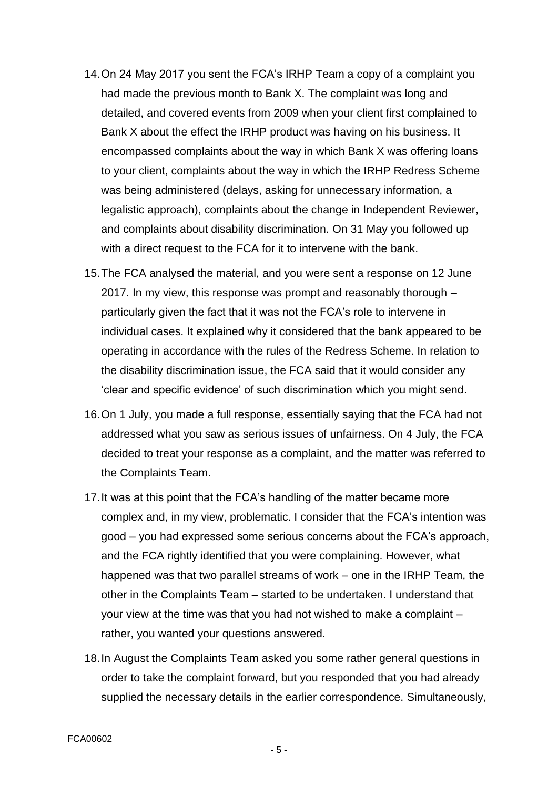- 14.On 24 May 2017 you sent the FCA's IRHP Team a copy of a complaint you had made the previous month to Bank X. The complaint was long and detailed, and covered events from 2009 when your client first complained to Bank X about the effect the IRHP product was having on his business. It encompassed complaints about the way in which Bank X was offering loans to your client, complaints about the way in which the IRHP Redress Scheme was being administered (delays, asking for unnecessary information, a legalistic approach), complaints about the change in Independent Reviewer, and complaints about disability discrimination. On 31 May you followed up with a direct request to the FCA for it to intervene with the bank.
- 15.The FCA analysed the material, and you were sent a response on 12 June 2017. In my view, this response was prompt and reasonably thorough – particularly given the fact that it was not the FCA's role to intervene in individual cases. It explained why it considered that the bank appeared to be operating in accordance with the rules of the Redress Scheme. In relation to the disability discrimination issue, the FCA said that it would consider any 'clear and specific evidence' of such discrimination which you might send.
- 16.On 1 July, you made a full response, essentially saying that the FCA had not addressed what you saw as serious issues of unfairness. On 4 July, the FCA decided to treat your response as a complaint, and the matter was referred to the Complaints Team.
- 17.It was at this point that the FCA's handling of the matter became more complex and, in my view, problematic. I consider that the FCA's intention was good – you had expressed some serious concerns about the FCA's approach, and the FCA rightly identified that you were complaining. However, what happened was that two parallel streams of work – one in the IRHP Team, the other in the Complaints Team – started to be undertaken. I understand that your view at the time was that you had not wished to make a complaint – rather, you wanted your questions answered.
- 18.In August the Complaints Team asked you some rather general questions in order to take the complaint forward, but you responded that you had already supplied the necessary details in the earlier correspondence. Simultaneously,

- 5 -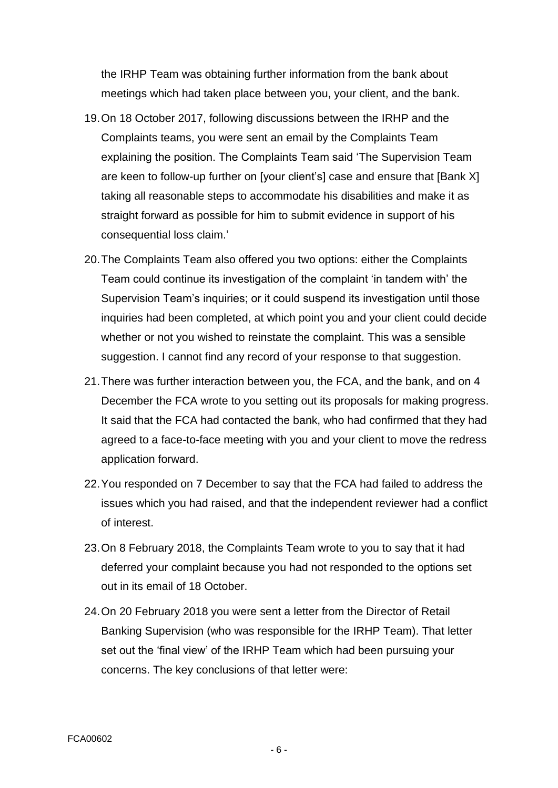the IRHP Team was obtaining further information from the bank about meetings which had taken place between you, your client, and the bank.

- 19.On 18 October 2017, following discussions between the IRHP and the Complaints teams, you were sent an email by the Complaints Team explaining the position. The Complaints Team said 'The Supervision Team are keen to follow-up further on [your client's] case and ensure that [Bank X] taking all reasonable steps to accommodate his disabilities and make it as straight forward as possible for him to submit evidence in support of his consequential loss claim.'
- 20.The Complaints Team also offered you two options: either the Complaints Team could continue its investigation of the complaint 'in tandem with' the Supervision Team's inquiries; or it could suspend its investigation until those inquiries had been completed, at which point you and your client could decide whether or not you wished to reinstate the complaint. This was a sensible suggestion. I cannot find any record of your response to that suggestion.
- 21.There was further interaction between you, the FCA, and the bank, and on 4 December the FCA wrote to you setting out its proposals for making progress. It said that the FCA had contacted the bank, who had confirmed that they had agreed to a face-to-face meeting with you and your client to move the redress application forward.
- 22.You responded on 7 December to say that the FCA had failed to address the issues which you had raised, and that the independent reviewer had a conflict of interest.
- 23.On 8 February 2018, the Complaints Team wrote to you to say that it had deferred your complaint because you had not responded to the options set out in its email of 18 October.
- 24.On 20 February 2018 you were sent a letter from the Director of Retail Banking Supervision (who was responsible for the IRHP Team). That letter set out the 'final view' of the IRHP Team which had been pursuing your concerns. The key conclusions of that letter were: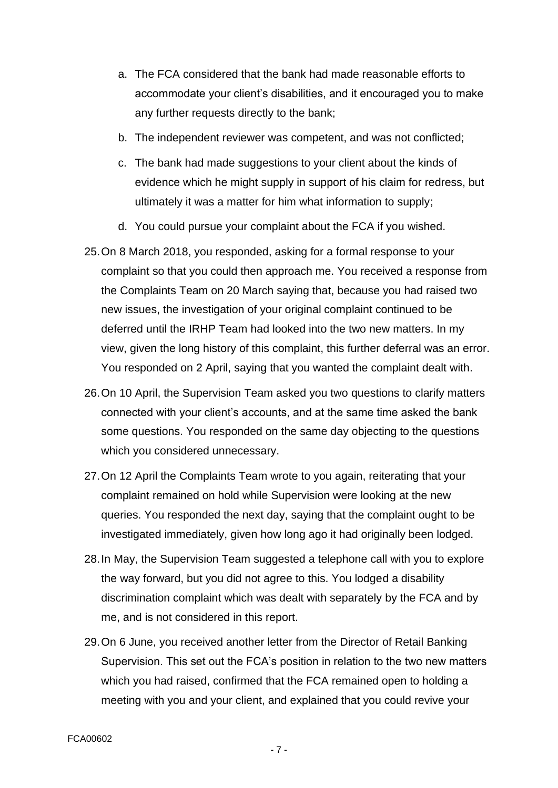- a. The FCA considered that the bank had made reasonable efforts to accommodate your client's disabilities, and it encouraged you to make any further requests directly to the bank;
- b. The independent reviewer was competent, and was not conflicted;
- c. The bank had made suggestions to your client about the kinds of evidence which he might supply in support of his claim for redress, but ultimately it was a matter for him what information to supply;
- d. You could pursue your complaint about the FCA if you wished.
- 25.On 8 March 2018, you responded, asking for a formal response to your complaint so that you could then approach me. You received a response from the Complaints Team on 20 March saying that, because you had raised two new issues, the investigation of your original complaint continued to be deferred until the IRHP Team had looked into the two new matters. In my view, given the long history of this complaint, this further deferral was an error. You responded on 2 April, saying that you wanted the complaint dealt with.
- 26.On 10 April, the Supervision Team asked you two questions to clarify matters connected with your client's accounts, and at the same time asked the bank some questions. You responded on the same day objecting to the questions which you considered unnecessary.
- 27.On 12 April the Complaints Team wrote to you again, reiterating that your complaint remained on hold while Supervision were looking at the new queries. You responded the next day, saying that the complaint ought to be investigated immediately, given how long ago it had originally been lodged.
- 28.In May, the Supervision Team suggested a telephone call with you to explore the way forward, but you did not agree to this. You lodged a disability discrimination complaint which was dealt with separately by the FCA and by me, and is not considered in this report.
- 29.On 6 June, you received another letter from the Director of Retail Banking Supervision. This set out the FCA's position in relation to the two new matters which you had raised, confirmed that the FCA remained open to holding a meeting with you and your client, and explained that you could revive your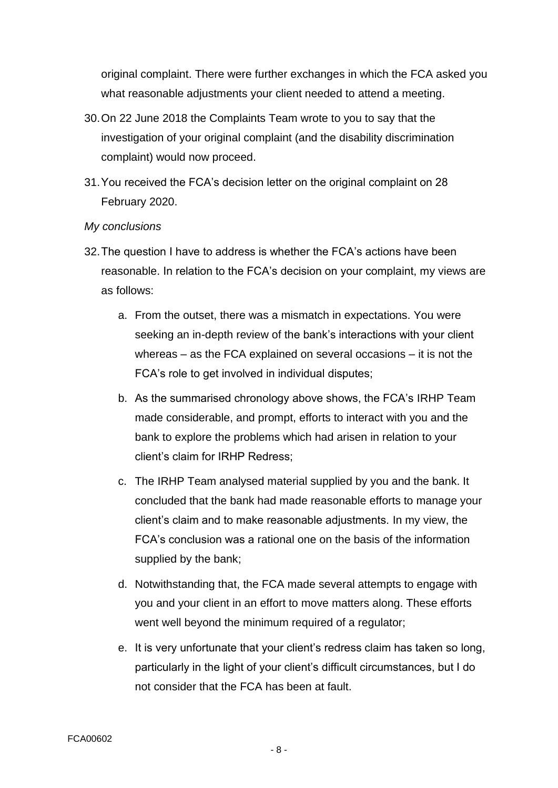original complaint. There were further exchanges in which the FCA asked you what reasonable adjustments your client needed to attend a meeting.

- 30.On 22 June 2018 the Complaints Team wrote to you to say that the investigation of your original complaint (and the disability discrimination complaint) would now proceed.
- 31.You received the FCA's decision letter on the original complaint on 28 February 2020.

#### *My conclusions*

- 32.The question I have to address is whether the FCA's actions have been reasonable. In relation to the FCA's decision on your complaint, my views are as follows:
	- a. From the outset, there was a mismatch in expectations. You were seeking an in-depth review of the bank's interactions with your client whereas – as the FCA explained on several occasions – it is not the FCA's role to get involved in individual disputes;
	- b. As the summarised chronology above shows, the FCA's IRHP Team made considerable, and prompt, efforts to interact with you and the bank to explore the problems which had arisen in relation to your client's claim for IRHP Redress;
	- c. The IRHP Team analysed material supplied by you and the bank. It concluded that the bank had made reasonable efforts to manage your client's claim and to make reasonable adjustments. In my view, the FCA's conclusion was a rational one on the basis of the information supplied by the bank;
	- d. Notwithstanding that, the FCA made several attempts to engage with you and your client in an effort to move matters along. These efforts went well beyond the minimum required of a regulator;
	- e. It is very unfortunate that your client's redress claim has taken so long, particularly in the light of your client's difficult circumstances, but I do not consider that the FCA has been at fault.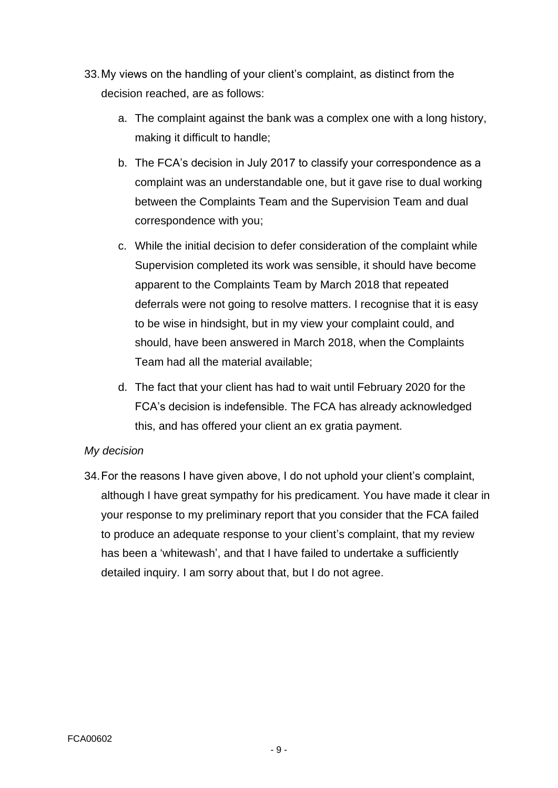- 33.My views on the handling of your client's complaint, as distinct from the decision reached, are as follows:
	- a. The complaint against the bank was a complex one with a long history, making it difficult to handle;
	- b. The FCA's decision in July 2017 to classify your correspondence as a complaint was an understandable one, but it gave rise to dual working between the Complaints Team and the Supervision Team and dual correspondence with you;
	- c. While the initial decision to defer consideration of the complaint while Supervision completed its work was sensible, it should have become apparent to the Complaints Team by March 2018 that repeated deferrals were not going to resolve matters. I recognise that it is easy to be wise in hindsight, but in my view your complaint could, and should, have been answered in March 2018, when the Complaints Team had all the material available;
	- d. The fact that your client has had to wait until February 2020 for the FCA's decision is indefensible. The FCA has already acknowledged this, and has offered your client an ex gratia payment.

### *My decision*

34.For the reasons I have given above, I do not uphold your client's complaint, although I have great sympathy for his predicament. You have made it clear in your response to my preliminary report that you consider that the FCA failed to produce an adequate response to your client's complaint, that my review has been a 'whitewash', and that I have failed to undertake a sufficiently detailed inquiry. I am sorry about that, but I do not agree.